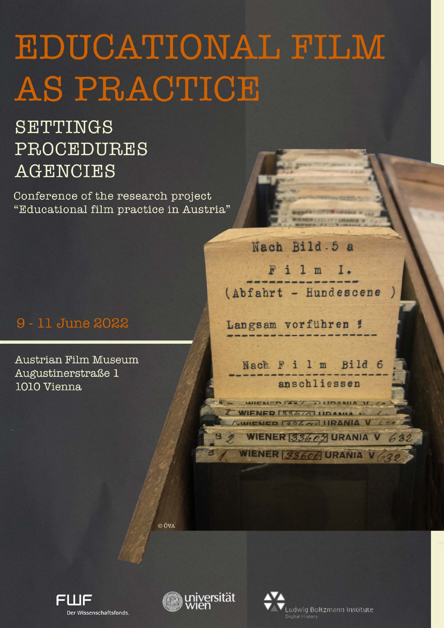# EDUCATIONAL FILM AS PRACTICE

# SETTINGS PROCEDURES **AGENCIES**

Conference of the research project "Educational film practice in Austria"

## 9 - 11 June 2022

Austrian Film Museum Augustinerstraße 1 1010 Vienna

Nach Bild.5 a Film I. (Abfahrt - Hundescene

Langsam vorführen !

Nach F i 1 m Bild 6 anschliessen

WIENED FART THIDANIA V ZA WIENED [334/4] UDAMIA 1. WIENED [324 W] URANIA V 420

WIENER 33606 URANIA V 62

WIENER 33609 URANIA V 632

© ÖVA





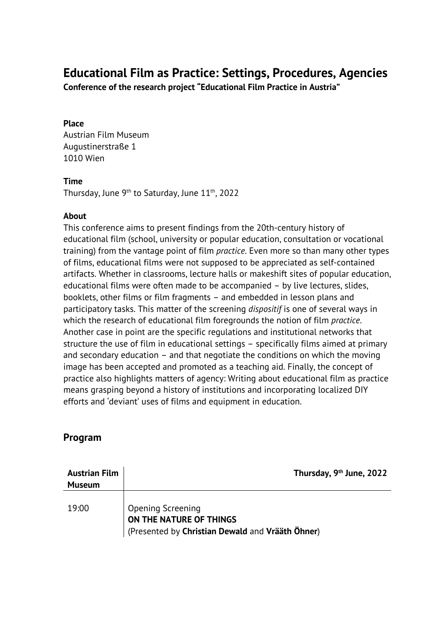### **Educational Film as Practice: Settings, Procedures, Agencies**

**Conference of the research project "Educational Film Practice in Austria"**

#### **Place**

Austrian Film Museum Augustinerstraße 1 1010 Wien

#### **Time**

Thursday, June 9<sup>th</sup> to Saturday, June 11<sup>th</sup>, 2022

#### **About**

This conference aims to present findings from the 20th-century history of educational film (school, university or popular education, consultation or vocational training) from the vantage point of film *practice*. Even more so than many other types of films, educational films were not supposed to be appreciated as self-contained artifacts. Whether in classrooms, lecture halls or makeshift sites of popular education, educational films were often made to be accompanied – by live lectures, slides, booklets, other films or film fragments – and embedded in lesson plans and participatory tasks. This matter of the screening *dispositif* is one of several ways in which the research of educational film foregrounds the notion of film *practice*. Another case in point are the specific regulations and institutional networks that structure the use of film in educational settings – specifically films aimed at primary and secondary education – and that negotiate the conditions on which the moving image has been accepted and promoted as a teaching aid. Finally, the concept of practice also highlights matters of agency: Writing about educational film as practice means grasping beyond a history of institutions and incorporating localized DIY efforts and 'deviant' uses of films and equipment in education.

#### **Program**

| <b>Austrian Film</b><br><b>Museum</b> | Thursday, 9 <sup>th</sup> June, 2022                                                             |
|---------------------------------------|--------------------------------------------------------------------------------------------------|
| 19:00                                 | Opening Screening<br>ON THE NATURE OF THINGS<br>(Presented by Christian Dewald and Vrääth Öhner) |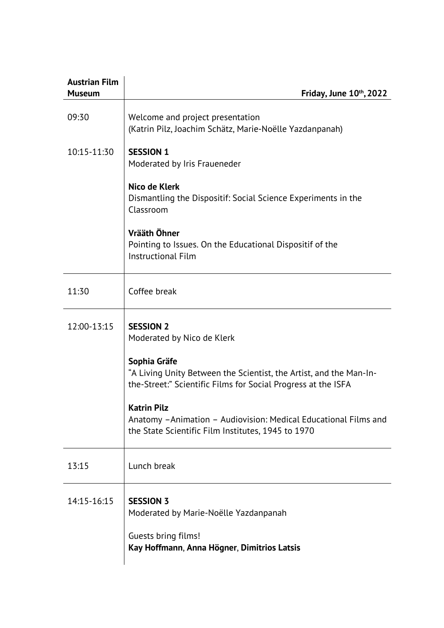| <b>Austrian Film</b><br><b>Museum</b> | Friday, June $10th$ , 2022                                                                                                                          |
|---------------------------------------|-----------------------------------------------------------------------------------------------------------------------------------------------------|
| 09:30                                 | Welcome and project presentation<br>(Katrin Pilz, Joachim Schätz, Marie-Noëlle Yazdanpanah)                                                         |
| 10:15-11:30                           | <b>SESSION 1</b><br>Moderated by Iris Fraueneder                                                                                                    |
|                                       | Nico de Klerk<br>Dismantling the Dispositif: Social Science Experiments in the<br>Classroom                                                         |
|                                       | Vrääth Öhner<br>Pointing to Issues. On the Educational Dispositif of the<br><b>Instructional Film</b>                                               |
| 11:30                                 | Coffee break                                                                                                                                        |
| 12:00-13:15                           | <b>SESSION 2</b><br>Moderated by Nico de Klerk                                                                                                      |
|                                       | Sophia Gräfe<br>"A Living Unity Between the Scientist, the Artist, and the Man-In-<br>the-Street:" Scientific Films for Social Progress at the ISFA |
|                                       | <b>Katrin Pilz</b><br>Anatomy - Animation - Audiovision: Medical Educational Films and<br>the State Scientific Film Institutes, 1945 to 1970        |
| 13:15                                 | Lunch break                                                                                                                                         |
| 14:15-16:15                           | <b>SESSION 3</b><br>Moderated by Marie-Noëlle Yazdanpanah<br>Guests bring films!<br>Kay Hoffmann, Anna Högner, Dimitrios Latsis                     |
|                                       |                                                                                                                                                     |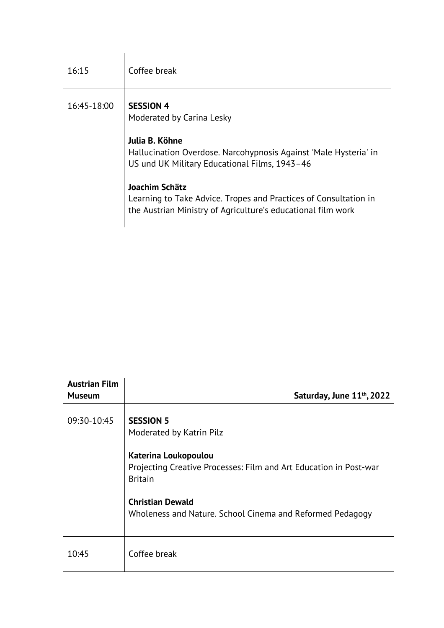| 16:15       | Coffee break                                                                                                                                                                                                                                                               |
|-------------|----------------------------------------------------------------------------------------------------------------------------------------------------------------------------------------------------------------------------------------------------------------------------|
| 16:45-18:00 | <b>SESSION 4</b><br>Moderated by Carina Lesky<br>Julia B. Köhne<br>Hallucination Overdose. Narcohypnosis Against 'Male Hysteria' in<br>US und UK Military Educational Films, 1943-46<br>Joachim Schätz<br>Learning to Take Advice. Tropes and Practices of Consultation in |
|             | the Austrian Ministry of Agriculture's educational film work                                                                                                                                                                                                               |

| <b>Austrian Film</b><br><b>Museum</b> | Saturday, June 11 <sup>th</sup> , 2022                                                                                                                                                                                                              |
|---------------------------------------|-----------------------------------------------------------------------------------------------------------------------------------------------------------------------------------------------------------------------------------------------------|
| 09:30-10:45                           | <b>SESSION 5</b><br>Moderated by Katrin Pilz<br>Katerina Loukopoulou<br>Projecting Creative Processes: Film and Art Education in Post-war<br><b>Britain</b><br><b>Christian Dewald</b><br>Wholeness and Nature. School Cinema and Reformed Pedagogy |
| 10:45                                 | Coffee break                                                                                                                                                                                                                                        |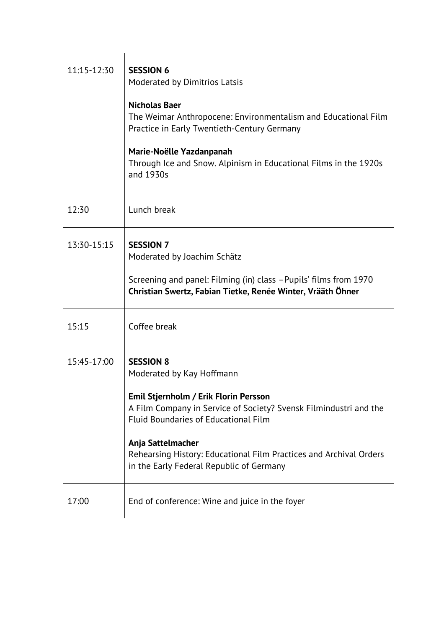| 11:15-12:30 | <b>SESSION 6</b><br>Moderated by Dimitrios Latsis                                                                                                         |
|-------------|-----------------------------------------------------------------------------------------------------------------------------------------------------------|
|             | <b>Nicholas Baer</b><br>The Weimar Anthropocene: Environmentalism and Educational Film<br>Practice in Early Twentieth-Century Germany                     |
|             | Marie-Noëlle Yazdanpanah<br>Through Ice and Snow. Alpinism in Educational Films in the 1920s<br>and 1930s                                                 |
| 12:30       | Lunch break                                                                                                                                               |
| 13:30-15:15 | <b>SESSION 7</b><br>Moderated by Joachim Schätz                                                                                                           |
|             | Screening and panel: Filming (in) class -Pupils' films from 1970<br>Christian Swertz, Fabian Tietke, Renée Winter, Vrääth Öhner                           |
| 15:15       | Coffee break                                                                                                                                              |
| 15:45-17:00 | <b>SESSION 8</b><br>Moderated by Kay Hoffmann                                                                                                             |
|             | Emil Stjernholm / Erik Florin Persson<br>A Film Company in Service of Society? Svensk Filmindustri and the<br><b>Fluid Boundaries of Educational Film</b> |
|             | Anja Sattelmacher<br>Rehearsing History: Educational Film Practices and Archival Orders<br>in the Early Federal Republic of Germany                       |
| 17:00       | End of conference: Wine and juice in the foyer                                                                                                            |